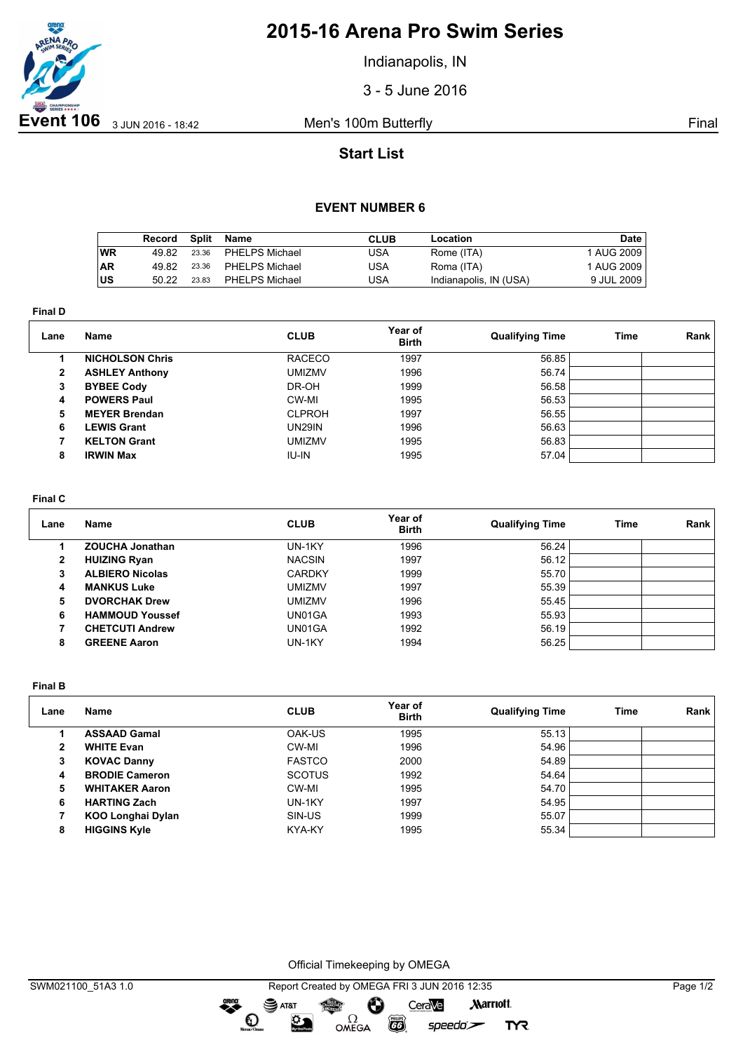

## **2015-16 Arena Pro Swim Series**

Indianapolis, IN

3 - 5 June 2016

## **Start List**

### **EVENT NUMBER 6**

|           | Record | Split | Name                  | <b>CLUB</b> | Location               | Date       |
|-----------|--------|-------|-----------------------|-------------|------------------------|------------|
| WR        | 49.82  | 23.36 | PHELPS Michael        | USA         | Rome (ITA)             | 1 AUG 2009 |
| <b>AR</b> | 49.82  | 23.36 | PHELPS Michael        | USA         | Roma (ITA)             | 1 AUG 2009 |
| ∣US       | 50.22  | 23.83 | <b>PHELPS Michael</b> | USA         | Indianapolis, IN (USA) | 9 JUL 2009 |

**Final D**

| Lane           | <b>Name</b>            | <b>CLUB</b>   | Year of<br><b>Birth</b> | <b>Qualifying Time</b> | Time | Rank |
|----------------|------------------------|---------------|-------------------------|------------------------|------|------|
|                | <b>NICHOLSON Chris</b> | <b>RACECO</b> | 1997                    | 56.85                  |      |      |
| $\overline{2}$ | <b>ASHLEY Anthony</b>  | <b>UMIZMV</b> | 1996                    | 56.74                  |      |      |
| 3              | <b>BYBEE Cody</b>      | DR-OH         | 1999                    | 56.58                  |      |      |
| 4              | <b>POWERS Paul</b>     | CW-MI         | 1995                    | 56.53                  |      |      |
| 5              | <b>MEYER Brendan</b>   | <b>CLPROH</b> | 1997                    | 56.55                  |      |      |
| 6              | <b>LEWIS Grant</b>     | <b>UN29IN</b> | 1996                    | 56.63                  |      |      |
|                | <b>KELTON Grant</b>    | <b>UMIZMV</b> | 1995                    | 56.83                  |      |      |
| 8              | <b>IRWIN Max</b>       | <b>IU-IN</b>  | 1995                    | 57.04                  |      |      |

#### **Final C**

| Lane | <b>Name</b>            | <b>CLUB</b>   | Year of<br><b>Birth</b> | <b>Qualifying Time</b> | Time | Rank |
|------|------------------------|---------------|-------------------------|------------------------|------|------|
|      | <b>ZOUCHA Jonathan</b> | UN-1KY        | 1996                    | 56.24                  |      |      |
| 2    | <b>HUIZING Ryan</b>    | <b>NACSIN</b> | 1997                    | 56.12                  |      |      |
| з    | <b>ALBIERO Nicolas</b> | <b>CARDKY</b> | 1999                    | 55.70                  |      |      |
| 4    | <b>MANKUS Luke</b>     | <b>UMIZMV</b> | 1997                    | 55.39                  |      |      |
| 5    | <b>DVORCHAK Drew</b>   | <b>UMIZMV</b> | 1996                    | 55.45                  |      |      |
| 6    | <b>HAMMOUD Youssef</b> | UN01GA        | 1993                    | 55.93                  |      |      |
|      | <b>CHETCUTI Andrew</b> | UN01GA        | 1992                    | 56.19                  |      |      |
| 8    | <b>GREENE Aaron</b>    | UN-1KY        | 1994                    | 56.25                  |      |      |

**Final B**

| Lane | Name                     | <b>CLUB</b>   | Year of<br><b>Birth</b> | <b>Qualifying Time</b> | Time | Rank |
|------|--------------------------|---------------|-------------------------|------------------------|------|------|
|      | <b>ASSAAD Gamal</b>      | OAK-US        | 1995                    | 55.13                  |      |      |
| 2    | <b>WHITE Evan</b>        | CW-MI         | 1996                    | 54.96                  |      |      |
| 3    | <b>KOVAC Danny</b>       | <b>FASTCO</b> | 2000                    | 54.89                  |      |      |
| 4    | <b>BRODIE Cameron</b>    | <b>SCOTUS</b> | 1992                    | 54.64                  |      |      |
| 5    | <b>WHITAKER Aaron</b>    | CW-MI         | 1995                    | 54.70                  |      |      |
| 6    | <b>HARTING Zach</b>      | UN-1KY        | 1997                    | 54.95                  |      |      |
|      | <b>KOO Longhai Dylan</b> | SIN-US        | 1999                    | 55.07                  |      |      |
| 8    | <b>HIGGINS Kyle</b>      | KYA-KY        | 1995                    | 55.34                  |      |      |

Official Timekeeping by OMEGA

 $\overline{G}$ 

 $speedo$ 

**TYR** 

OMEGA

dreng:

 $\mathbf{O}$ 

 $\mathfrak{D}$